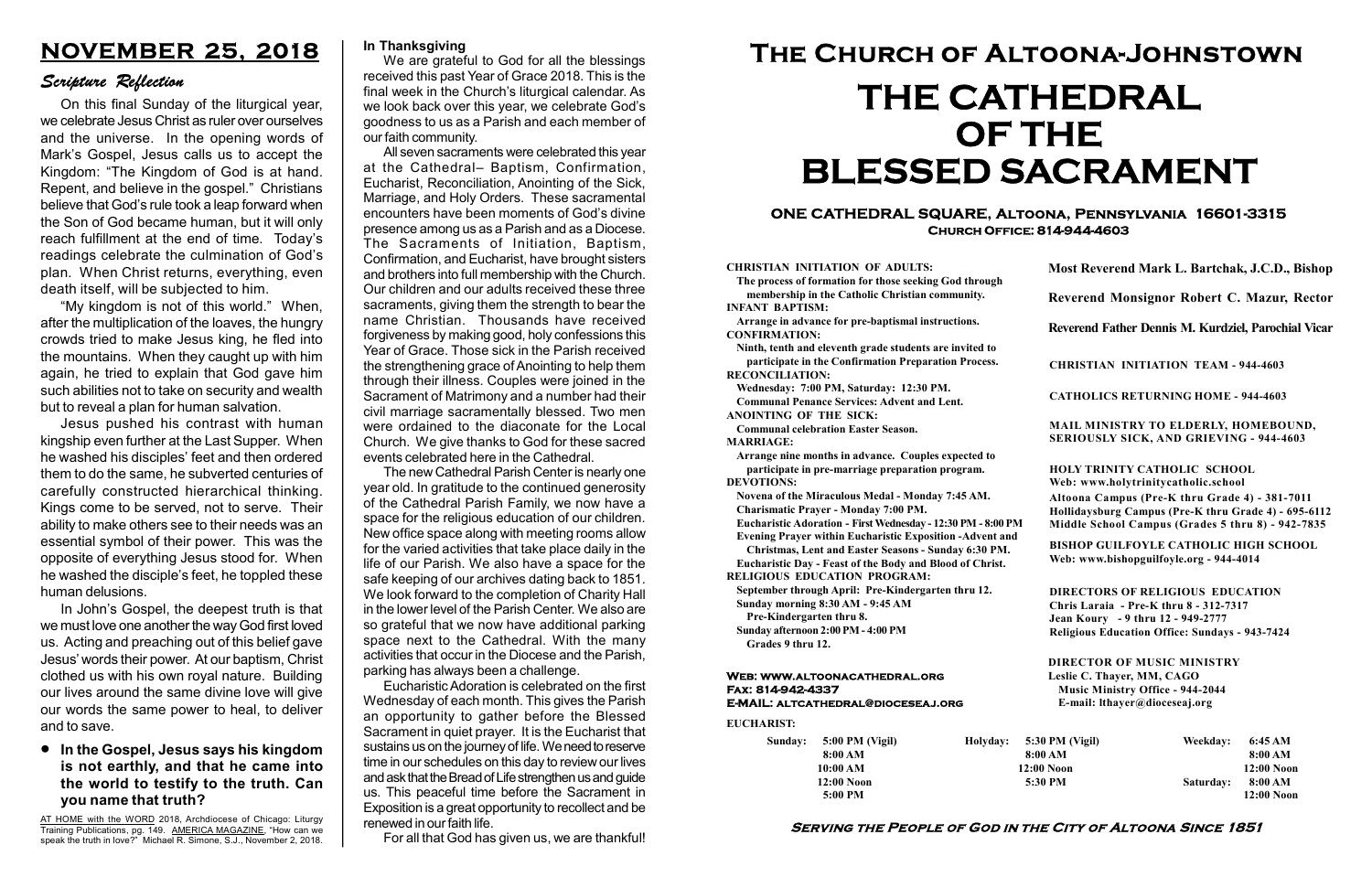#### Serving the People of God in the City of Altoona Since 1851

Sunday: 5:00 PM (Vigil) 8:00 AM 10:00 AM 12:00 Noon 5:00 PM Holyday:

#### Web: www.altoonacathedral.org Fax: 814-942-4337 E-MAIL: altcathedral@dioceseaj.org

EUCHARIST:

#### CHRISTIAN INITIATION OF ADULTS:

The process of formation for those seeking God through membership in the Catholic Christian community. INFANT BAPTISM:

Arrange in advance for pre-baptismal instructions. CONFIRMATION:

Ninth, tenth and eleventh grade students are invited to participate in the Confirmation Preparation Process. RECONCILIATION:

Wednesday: 7:00 PM, Saturday: 12:30 PM. Communal Penance Services: Advent and Lent.

ANOINTING OF THE SICK: Communal celebration Easter Season.

MARRIAGE:

Arrange nine months in advance. Couples expected to participate in pre-marriage preparation program. DEVOTIONS:

Novena of the Miraculous Medal - Monday 7:45 AM. Charismatic Prayer - Monday 7:00 PM.

Eucharistic Adoration - First Wednesday - 12:30 PM - 8:00 PM

Evening Prayer within Eucharistic Exposition -Advent and

Christmas, Lent and Easter Seasons - Sunday 6:30 PM.

|                         | Most Reverend Mark L. Bartchak, J.C.D., Bishop<br>Reverend Monsignor Robert C. Mazur, Rector                                                                                    |           |                         |
|-------------------------|---------------------------------------------------------------------------------------------------------------------------------------------------------------------------------|-----------|-------------------------|
|                         |                                                                                                                                                                                 |           |                         |
|                         | Reverend Father Dennis M. Kurdziel, Parochial Vicar                                                                                                                             |           |                         |
|                         | <b>CHRISTIAN INITIATION TEAM - 944-4603</b>                                                                                                                                     |           |                         |
|                         | <b>CATHOLICS RETURNING HOME - 944-4603</b>                                                                                                                                      |           |                         |
|                         | MAIL MINISTRY TO ELDERLY, HOMEBOUND,<br><b>SERIOUSLY SICK, AND GRIEVING - 944-4603</b>                                                                                          |           |                         |
|                         | <b>HOLY TRINITY CATHOLIC SCHOOL</b><br>Web: www.holytrinitycatholic.school                                                                                                      |           |                         |
| М                       | Altoona Campus (Pre-K thru Grade 4) - 381-7011<br>Hollidaysburg Campus (Pre-K thru Grade 4) - 695-6112<br>Middle School Campus (Grades 5 thru 8) - 942-7835                     |           |                         |
| ł                       | <b>BISHOP GUILFOYLE CATHOLIC HIGH SCHOOL</b><br>Web: www.bishopguilfoyle.org - 944-4014                                                                                         |           |                         |
|                         | <b>DIRECTORS OF RELIGIOUS EDUCATION</b><br>Chris Laraia - Pre-K thru 8 - 312-7317<br>Jean Koury - 9 thru 12 - 949-2777<br><b>Religious Education Office: Sundays - 943-7424</b> |           |                         |
|                         | <b>DIRECTOR OF MUSIC MINISTRY</b><br>Leslie C. Thayer, MM, CAGO<br><b>Music Ministry Office - 944-2044</b><br>E-mail: lthayer@dioceseaj.org                                     |           |                         |
| 5:30 PM (Vigil)         |                                                                                                                                                                                 | Weekday:  | 6:45 AM                 |
| 8:00 AM<br>$12:00$ Noon |                                                                                                                                                                                 |           | 8:00 AM<br>12:00 Noon   |
|                         | 5:30 PM                                                                                                                                                                         | Saturday: | 8:00 AM<br>$12:00$ Noon |
|                         |                                                                                                                                                                                 |           |                         |

Eucharistic Day - Feast of the Body and Blood of Christ. RELIGIOUS EDUCATION PROGRAM:

#### **•** In the Gospel, Jesus says his kingdom is not earthly, and that he came into the world to testify to the truth. Can you name that truth?

September through April: Pre-Kindergarten thru 12. Sunday morning 8:30 AM - 9:45 AM

Pre-Kindergarten thru 8.

Sunday afternoon 2:00 PM - 4:00 PM Grades 9 thru 12.

#### ONE CATHEDRAL SQUARE, Altoona, Pennsylvania 16601-3315 Church Office: 814-944-4603

# The Church of Altoona-Johnstown THE CATHEDRAL OF THE BLESSED SACRAMENT

## NOVEMBER 25, 2018

#### Scripture Reflection

On this final Sunday of the liturgical year, we celebrate Jesus Christ as ruler over ourselves and the universe. In the opening words of Mark's Gospel, Jesus calls us to accept the Kingdom: "The Kingdom of God is at hand. Repent, and believe in the gospel." Christians believe that God's rule took a leap forward when the Son of God became human, but it will only reach fulfillment at the end of time. Today's readings celebrate the culmination of God's plan. When Christ returns, everything, even death itself, will be subjected to him.

"My kingdom is not of this world." When, after the multiplication of the loaves, the hungry crowds tried to make Jesus king, he fled into the mountains. When they caught up with him again, he tried to explain that God gave him such abilities not to take on security and wealth but to reveal a plan for human salvation.

Jesus pushed his contrast with human kingship even further at the Last Supper. When he washed his disciples' feet and then ordered them to do the same, he subverted centuries of carefully constructed hierarchical thinking. Kings come to be served, not to serve. Their ability to make others see to their needs was an essential symbol of their power. This was the opposite of everything Jesus stood for. When he washed the disciple's feet, he toppled these human delusions.

In John's Gospel, the deepest truth is that we must love one another the way God first loved us. Acting and preaching out of this belief gave Jesus' words their power. At our baptism, Christ clothed us with his own royal nature. Building our lives around the same divine love will give our words the same power to heal, to deliver and to save.

#### In Thanksgiving

We are grateful to God for all the blessings received this past Year of Grace 2018. This is the final week in the Church's liturgical calendar. As we look back over this year, we celebrate God's goodness to us as a Parish and each member of our faith community.

All seven sacraments were celebrated this year at the Cathedral– Baptism, Confirmation, Eucharist, Reconciliation, Anointing of the Sick, Marriage, and Holy Orders. These sacramental encounters have been moments of God's divine presence among us as a Parish and as a Diocese. The Sacraments of Initiation, Baptism, Confirmation, and Eucharist, have brought sisters and brothers into full membership with the Church. Our children and our adults received these three sacraments, giving them the strength to bear the name Christian. Thousands have received forgiveness by making good, holy confessions this Year of Grace. Those sick in the Parish received the strengthening grace of Anointing to help them through their illness. Couples were joined in the Sacrament of Matrimony and a number had their civil marriage sacramentally blessed. Two men were ordained to the diaconate for the Local Church. We give thanks to God for these sacred events celebrated here in the Cathedral.

The new Cathedral Parish Center is nearly one year old. In gratitude to the continued generosity of the Cathedral Parish Family, we now have a space for the religious education of our children. New office space along with meeting rooms allow for the varied activities that take place daily in the life of our Parish. We also have a space for the safe keeping of our archives dating back to 1851. We look forward to the completion of Charity Hall in the lower level of the Parish Center. We also are so grateful that we now have additional parking space next to the Cathedral. With the many activities that occur in the Diocese and the Parish, parking has always been a challenge.

Eucharistic Adoration is celebrated on the first Wednesday of each month. This gives the Parish an opportunity to gather before the Blessed Sacrament in quiet prayer. It is the Eucharist that sustains us on the journey of life. We need to reserve time in our schedules on this day to review our lives and ask that the Bread of Life strengthen us and guide us. This peaceful time before the Sacrament in Exposition is a great opportunity to recollect and be renewed in our faith life.

For all that God has given us, we are thankful!

AT HOME with the WORD 2018, Archdiocese of Chicago: Liturgy Training Publications, pg. 149. AMERICA MAGAZINE, "How can we speak the truth in love?" Michael R. Simone, S.J., November 2, 2018.